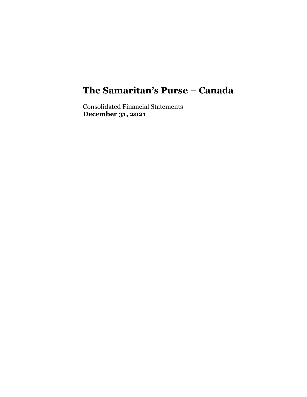Consolidated Financial Statements **December 31, 2021**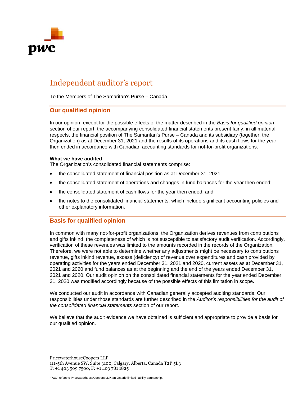

# Independent auditor's report

To the Members of The Samaritan's Purse – Canada

### **Our qualified opinion**

In our opinion, except for the possible effects of the matter described in the *Basis for qualified opinion* section of our report, the accompanying consolidated financial statements present fairly, in all material respects, the financial position of The Samaritan's Purse – Canada and its subsidiary (together, the Organization) as at December 31, 2021 and the results of its operations and its cash flows for the year then ended in accordance with Canadian accounting standards for not-for-profit organizations.

#### **What we have audited**

The Organization's consolidated financial statements comprise:

- the consolidated statement of financial position as at December 31, 2021;
- the consolidated statement of operations and changes in fund balances for the year then ended;
- the consolidated statement of cash flows for the year then ended; and
- the notes to the consolidated financial statements, which include significant accounting policies and other explanatory information.

# **Basis for qualified opinion**

In common with many not-for-profit organizations, the Organization derives revenues from contributions and gifts inkind, the completeness of which is not susceptible to satisfactory audit verification. Accordingly, verification of these revenues was limited to the amounts recorded in the records of the Organization. Therefore, we were not able to determine whether any adjustments might be necessary to contributions revenue, gifts inkind revenue, excess (deficiency) of revenue over expenditures and cash provided by operating activities for the years ended December 31, 2021 and 2020, current assets as at December 31, 2021 and 2020 and fund balances as at the beginning and the end of the years ended December 31, 2021 and 2020. Our audit opinion on the consolidated financial statements for the year ended December 31, 2020 was modified accordingly because of the possible effects of this limitation in scope.

We conducted our audit in accordance with Canadian generally accepted auditing standards. Our responsibilities under those standards are further described in the *Auditor's responsibilities for the audit of the consolidated financial statements* section of our report.

We believe that the audit evidence we have obtained is sufficient and appropriate to provide a basis for our qualified opinion.

PricewaterhouseCoopers LLP 111-5th Avenue SW, Suite 3100, Calgary, Alberta, Canada T2P 5L3 T: +1 403 509 7500, F: +1 403 781 1825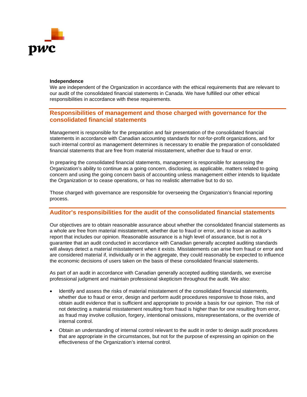

#### **Independence**

We are independent of the Organization in accordance with the ethical requirements that are relevant to our audit of the consolidated financial statements in Canada. We have fulfilled our other ethical responsibilities in accordance with these requirements.

# **Responsibilities of management and those charged with governance for the consolidated financial statements**

Management is responsible for the preparation and fair presentation of the consolidated financial statements in accordance with Canadian accounting standards for not-for-profit organizations, and for such internal control as management determines is necessary to enable the preparation of consolidated financial statements that are free from material misstatement, whether due to fraud or error.

In preparing the consolidated financial statements, management is responsible for assessing the Organization's ability to continue as a going concern, disclosing, as applicable, matters related to going concern and using the going concern basis of accounting unless management either intends to liquidate the Organization or to cease operations, or has no realistic alternative but to do so.

Those charged with governance are responsible for overseeing the Organization's financial reporting process.

### **Auditor's responsibilities for the audit of the consolidated financial statements**

Our objectives are to obtain reasonable assurance about whether the consolidated financial statements as a whole are free from material misstatement, whether due to fraud or error, and to issue an auditor's report that includes our opinion. Reasonable assurance is a high level of assurance, but is not a guarantee that an audit conducted in accordance with Canadian generally accepted auditing standards will always detect a material misstatement when it exists. Misstatements can arise from fraud or error and are considered material if, individually or in the aggregate, they could reasonably be expected to influence the economic decisions of users taken on the basis of these consolidated financial statements.

As part of an audit in accordance with Canadian generally accepted auditing standards, we exercise professional judgment and maintain professional skepticism throughout the audit. We also:

- Identify and assess the risks of material misstatement of the consolidated financial statements, whether due to fraud or error, design and perform audit procedures responsive to those risks, and obtain audit evidence that is sufficient and appropriate to provide a basis for our opinion. The risk of not detecting a material misstatement resulting from fraud is higher than for one resulting from error, as fraud may involve collusion, forgery, intentional omissions, misrepresentations, or the override of internal control.
- Obtain an understanding of internal control relevant to the audit in order to design audit procedures that are appropriate in the circumstances, but not for the purpose of expressing an opinion on the effectiveness of the Organization's internal control.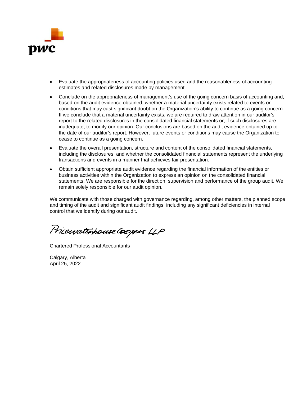

- Evaluate the appropriateness of accounting policies used and the reasonableness of accounting estimates and related disclosures made by management.
- Conclude on the appropriateness of management's use of the going concern basis of accounting and, based on the audit evidence obtained, whether a material uncertainty exists related to events or conditions that may cast significant doubt on the Organization's ability to continue as a going concern. If we conclude that a material uncertainty exists, we are required to draw attention in our auditor's report to the related disclosures in the consolidated financial statements or, if such disclosures are inadequate, to modify our opinion. Our conclusions are based on the audit evidence obtained up to the date of our auditor's report. However, future events or conditions may cause the Organization to cease to continue as a going concern.
- Evaluate the overall presentation, structure and content of the consolidated financial statements, including the disclosures, and whether the consolidated financial statements represent the underlying transactions and events in a manner that achieves fair presentation.
- Obtain sufficient appropriate audit evidence regarding the financial information of the entities or business activities within the Organization to express an opinion on the consolidated financial statements. We are responsible for the direction, supervision and performance of the group audit. We remain solely responsible for our audit opinion.

We communicate with those charged with governance regarding, among other matters, the planned scope and timing of the audit and significant audit findings, including any significant deficiencies in internal control that we identify during our audit.

PricewaterhouseCoopers LLP

Chartered Professional Accountants

Calgary, Alberta April 25, 2022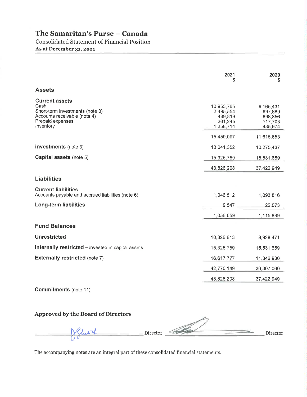**Consolidated Statement of Financial Position** As at December 31, 2021

|                                                                                                                                   | 2021<br>S                                                  | 2020<br>\$                                            |
|-----------------------------------------------------------------------------------------------------------------------------------|------------------------------------------------------------|-------------------------------------------------------|
| <b>Assets</b>                                                                                                                     |                                                            |                                                       |
| <b>Current assets</b><br>Cash<br>Short-term investments (note 3)<br>Accounts receivable (note 4)<br>Prepaid expenses<br>Inventory | 10,953,765<br>2,495,554<br>489,819<br>261,245<br>1,258,714 | 9,165,431<br>997,889<br>898,856<br>117,703<br>435,974 |
|                                                                                                                                   | 15,459,097                                                 | 11,615,853                                            |
| Investments (note 3)                                                                                                              | 13,041,352                                                 | 10,275,437                                            |
| Capital assets (note 5)                                                                                                           | 15,325,759                                                 | 15,531,659                                            |
|                                                                                                                                   | 43,826,208                                                 | 37,422,949                                            |
| <b>Liabilities</b>                                                                                                                |                                                            |                                                       |
| <b>Current liabilities</b><br>Accounts payable and accrued liabilities (note 6)                                                   | 1,046,512                                                  | 1,093,816                                             |
| <b>Long-term liabilities</b>                                                                                                      | 9,547                                                      | 22,073                                                |
|                                                                                                                                   | 1,056,059                                                  | 1,115,889                                             |
| <b>Fund Balances</b>                                                                                                              |                                                            |                                                       |
| <b>Unrestricted</b>                                                                                                               | 10,826,613                                                 | 8,928,471                                             |
| Internally restricted - invested in capital assets                                                                                | 15,325,759                                                 | 15,531,659                                            |
| <b>Externally restricted (note 7)</b>                                                                                             | 16,617,777                                                 | 11,846,930                                            |
|                                                                                                                                   | 42,770,149                                                 | 36,307,060                                            |
|                                                                                                                                   | 43,826,208                                                 | 37,422,949                                            |

Commitments (note 11)

# Approved by the Board of Directors

Director JShut th Director

The accompanying notes are an integral part of these consolidated financial statements.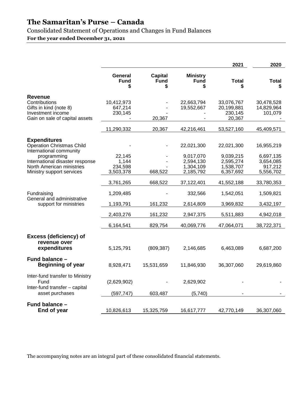Consolidated Statement of Operations and Changes in Fund Balances

**For the year ended December 31, 2021** 

|                                                                                                                                                                                                |                                         |                                    |                                                                | 2021                                                           | 2020                                                         |
|------------------------------------------------------------------------------------------------------------------------------------------------------------------------------------------------|-----------------------------------------|------------------------------------|----------------------------------------------------------------|----------------------------------------------------------------|--------------------------------------------------------------|
|                                                                                                                                                                                                | General<br><b>Fund</b>                  | <b>Capital</b><br><b>Fund</b><br>S | <b>Ministry</b><br><b>Fund</b><br>S                            | Total                                                          | <b>Total</b>                                                 |
| Revenue<br>Contributions<br>Gifts in kind (note 8)<br>Investment income<br>Gain on sale of capital assets                                                                                      | 10,412,973<br>647,214<br>230,145        | 20,367                             | 22,663,794<br>19,552,667                                       | 33,076,767<br>20,199,881<br>230,145<br>20,367                  | 30,478,528<br>14,829,964<br>101,079                          |
|                                                                                                                                                                                                | 11,290,332                              | 20,367                             | 42,216,461                                                     | 53,527,160                                                     | 45,409,571                                                   |
| <b>Expenditures</b><br><b>Operation Christmas Child</b><br>International community<br>programming<br>International disaster response<br>North American ministries<br>Ministry support services | 22,145<br>1,144<br>234,598<br>3,503,378 | 668,522                            | 22,021,300<br>9,017,070<br>2,594,130<br>1,304,109<br>2,185,792 | 22,021,300<br>9,039,215<br>2,595,274<br>1,538,707<br>6,357,692 | 16,955,219<br>6,697,135<br>3,654,085<br>917,212<br>5,556,702 |
|                                                                                                                                                                                                | 3,761,265                               | 668,522                            | 37,122,401                                                     | 41,552,188                                                     | 33,780,353                                                   |
| Fundraising<br>General and administrative<br>support for ministries                                                                                                                            | 1,209,485<br>1,193,791                  | 161,232                            | 332,566<br>2,614,809                                           | 1,542,051<br>3,969,832                                         | 1,509,821<br>3,432,197                                       |
|                                                                                                                                                                                                | 2,403,276                               | 161,232                            | 2,947,375                                                      | 5,511,883                                                      | 4,942,018                                                    |
|                                                                                                                                                                                                | 6,164,541                               | 829,754                            | 40,069,776                                                     | 47,064,071                                                     | 38,722,371                                                   |
| <b>Excess (deficiency) of</b><br>revenue over<br>expenditures                                                                                                                                  | 5,125,791                               | (809, 387)                         | 2,146,685                                                      | 6,463,089                                                      | 6,687,200                                                    |
| Fund balance -<br><b>Beginning of year</b>                                                                                                                                                     | 8,928,471                               | 15,531,659                         | 11,846,930                                                     | 36,307,060                                                     | 29,619,860                                                   |
| Inter-fund transfer to Ministry<br>Fund<br>Inter-fund transfer - capital<br>asset purchases                                                                                                    | (2,629,902)<br>(597, 747)               | 603,487                            | 2,629,902<br>(5,740)                                           |                                                                |                                                              |
| Fund balance -<br>End of year                                                                                                                                                                  | 10,826,613                              | 15,325,759                         | 16,617,777                                                     | 42,770,149                                                     | 36,307,060                                                   |

The accompanying notes are an integral part of these consolidated financial statements.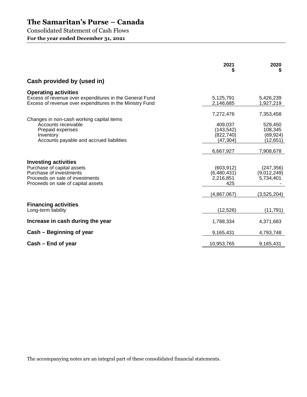Consolidated Statement of Cash Flows

**For the year ended December 31, 2021** 

|                                                                                                                                                               | 2021                                                                      | 2020<br>5                                                          |
|---------------------------------------------------------------------------------------------------------------------------------------------------------------|---------------------------------------------------------------------------|--------------------------------------------------------------------|
| Cash provided by (used in)                                                                                                                                    |                                                                           |                                                                    |
| <b>Operating activities</b><br>Excess of revenue over expenditures in the General Fund<br>Excess of revenue over expenditures in the Ministry Fund            | 5,125,791<br>2,146,685                                                    | 5,426,239<br>1,927,219                                             |
| Changes in non-cash working capital items<br>Accounts receivable<br>Prepaid expenses<br>Inventory<br>Accounts payable and accrued liabilities                 | 7,272,476<br>409,037<br>(143, 542)<br>(822, 740)<br>(47, 304)             | 7,353,458<br>529,450<br>108,345<br>(69, 924)<br>(12, 651)          |
| <b>Investing activities</b><br>Purchase of capital assets<br>Purchase of investments<br>Proceeds on sale of investments<br>Proceeds on sale of capital assets | 6,667,927<br>(603, 912)<br>(6,480,431)<br>2,216,851<br>425<br>(4,867,067) | 7,908,678<br>(247, 356)<br>(9,012,249)<br>5,734,401<br>(3,525,204) |
| <b>Financing activities</b><br>Long-term liability                                                                                                            | (12, 526)                                                                 | (11, 791)                                                          |
| Increase in cash during the year                                                                                                                              | 1,788,334                                                                 | 4,371,683                                                          |
| Cash - Beginning of year                                                                                                                                      | 9,165,431                                                                 | 4,793,748                                                          |
| Cash – End of year                                                                                                                                            | 10,953,765                                                                | 9,165,431                                                          |

The accompanying notes are an integral part of these consolidated financial statements.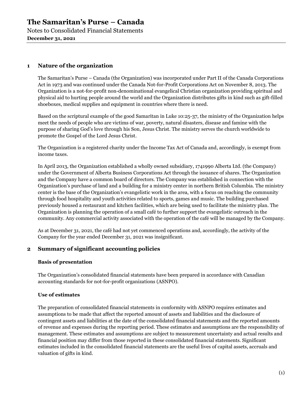Notes to Consolidated Financial Statements **December 31, 2021** 

# **1 Nature of the organization**

The Samaritan's Purse – Canada (the Organization) was incorporated under Part II of the Canada Corporations Act in 1973 and was continued under the Canada Not-for-Profit Corporations Act on November 8, 2013. The Organization is a not-for-profit non-denominational evangelical Christian organization providing spiritual and physical aid to hurting people around the world and the Organization distributes gifts in kind such as gift-filled shoeboxes, medical supplies and equipment in countries where there is need.

Based on the scriptural example of the good Samaritan in Luke 10:25-37, the ministry of the Organization helps meet the needs of people who are victims of war, poverty, natural disasters, disease and famine with the purpose of sharing God's love through his Son, Jesus Christ. The ministry serves the church worldwide to promote the Gospel of the Lord Jesus Christ.

The Organization is a registered charity under the Income Tax Act of Canada and, accordingly, is exempt from income taxes.

In April 2013, the Organization established a wholly owned subsidiary, 1741990 Alberta Ltd. (the Company) under the Government of Alberta Business Corporations Act through the issuance of shares. The Organization and the Company have a common board of directors. The Company was established in connection with the Organization's purchase of land and a building for a ministry center in northern British Columbia. The ministry center is the base of the Organization's evangelistic work in the area, with a focus on reaching the community through food hospitality and youth activities related to sports, games and music. The building purchased previously housed a restaurant and kitchen facilities, which are being used to facilitate the ministry plan. The Organization is planning the operation of a small café to further support the evangelistic outreach in the community. Any commercial activity associated with the operation of the café will be managed by the Company.

As at December 31, 2021, the café had not yet commenced operations and, accordingly, the activity of the Company for the year ended December 31, 2021 was insignificant.

### **2 Summary of significant accounting policies**

#### **Basis of presentation**

The Organization's consolidated financial statements have been prepared in accordance with Canadian accounting standards for not-for-profit organizations (ASNPO).

#### **Use of estimates**

The preparation of consolidated financial statements in conformity with ASNPO requires estimates and assumptions to be made that affect the reported amount of assets and liabilities and the disclosure of contingent assets and liabilities at the date of the consolidated financial statements and the reported amounts of revenue and expenses during the reporting period. These estimates and assumptions are the responsibility of management. These estimates and assumptions are subject to measurement uncertainty and actual results and financial position may differ from those reported in these consolidated financial statements. Significant estimates included in the consolidated financial statements are the useful lives of capital assets, accruals and valuation of gifts in kind.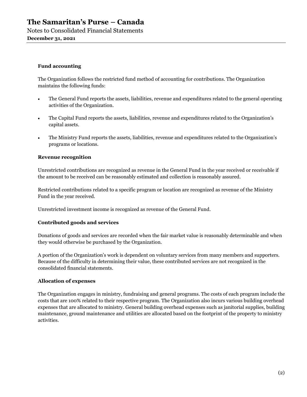Notes to Consolidated Financial Statements **December 31, 2021** 

#### **Fund accounting**

The Organization follows the restricted fund method of accounting for contributions. The Organization maintains the following funds:

- The General Fund reports the assets, liabilities, revenue and expenditures related to the general operating activities of the Organization.
- The Capital Fund reports the assets, liabilities, revenue and expenditures related to the Organization's capital assets.
- The Ministry Fund reports the assets, liabilities, revenue and expenditures related to the Organization's programs or locations.

#### **Revenue recognition**

Unrestricted contributions are recognized as revenue in the General Fund in the year received or receivable if the amount to be received can be reasonably estimated and collection is reasonably assured.

Restricted contributions related to a specific program or location are recognized as revenue of the Ministry Fund in the year received.

Unrestricted investment income is recognized as revenue of the General Fund.

#### **Contributed goods and services**

Donations of goods and services are recorded when the fair market value is reasonably determinable and when they would otherwise be purchased by the Organization.

A portion of the Organization's work is dependent on voluntary services from many members and supporters. Because of the difficulty in determining their value, these contributed services are not recognized in the consolidated financial statements.

#### **Allocation of expenses**

The Organization engages in ministry, fundraising and general programs. The costs of each program include the costs that are 100% related to their respective program. The Organization also incurs various building overhead expenses that are allocated to ministry. General building overhead expenses such as janitorial supplies, building maintenance, ground maintenance and utilities are allocated based on the footprint of the property to ministry activities.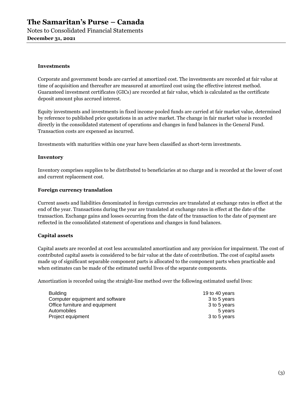Notes to Consolidated Financial Statements **December 31, 2021** 

#### **Investments**

Corporate and government bonds are carried at amortized cost. The investments are recorded at fair value at time of acquisition and thereafter are measured at amortized cost using the effective interest method. Guaranteed investment certificates (GICs) are recorded at fair value, which is calculated as the certificate deposit amount plus accrued interest.

Equity investments and investments in fixed income pooled funds are carried at fair market value, determined by reference to published price quotations in an active market. The change in fair market value is recorded directly in the consolidated statement of operations and changes in fund balances in the General Fund. Transaction costs are expensed as incurred.

Investments with maturities within one year have been classified as short-term investments.

#### **Inventory**

Inventory comprises supplies to be distributed to beneficiaries at no charge and is recorded at the lower of cost and current replacement cost.

#### **Foreign currency translation**

Current assets and liabilities denominated in foreign currencies are translated at exchange rates in effect at the end of the year. Transactions during the year are translated at exchange rates in effect at the date of the transaction. Exchange gains and losses occurring from the date of the transaction to the date of payment are reflected in the consolidated statement of operations and changes in fund balances.

#### **Capital assets**

Capital assets are recorded at cost less accumulated amortization and any provision for impairment. The cost of contributed capital assets is considered to be fair value at the date of contribution. The cost of capital assets made up of significant separable component parts is allocated to the component parts when practicable and when estimates can be made of the estimated useful lives of the separate components.

Amortization is recorded using the straight-line method over the following estimated useful lives:

| <b>Building</b>                 | 19 to 40 years |
|---------------------------------|----------------|
| Computer equipment and software | 3 to 5 years   |
| Office furniture and equipment  | 3 to 5 years   |
| Automobiles                     | 5 years        |
| Project equipment               | 3 to 5 years   |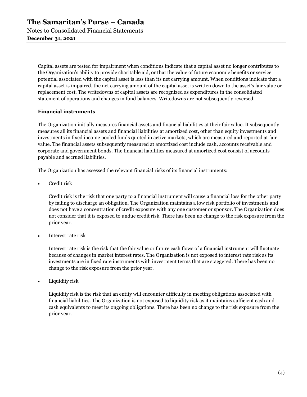Capital assets are tested for impairment when conditions indicate that a capital asset no longer contributes to the Organization's ability to provide charitable aid, or that the value of future economic benefits or service potential associated with the capital asset is less than its net carrying amount. When conditions indicate that a capital asset is impaired, the net carrying amount of the capital asset is written down to the asset's fair value or replacement cost. The writedowns of capital assets are recognized as expenditures in the consolidated statement of operations and changes in fund balances. Writedowns are not subsequently reversed.

#### **Financial instruments**

The Organization initially measures financial assets and financial liabilities at their fair value. It subsequently measures all its financial assets and financial liabilities at amortized cost, other than equity investments and investments in fixed income pooled funds quoted in active markets, which are measured and reported at fair value. The financial assets subsequently measured at amortized cost include cash, accounts receivable and corporate and government bonds. The financial liabilities measured at amortized cost consist of accounts payable and accrued liabilities.

The Organization has assessed the relevant financial risks of its financial instruments:

Credit risk

Credit risk is the risk that one party to a financial instrument will cause a financial loss for the other party by failing to discharge an obligation. The Organization maintains a low risk portfolio of investments and does not have a concentration of credit exposure with any one customer or sponsor. The Organization does not consider that it is exposed to undue credit risk. There has been no change to the risk exposure from the prior year.

• Interest rate risk

Interest rate risk is the risk that the fair value or future cash flows of a financial instrument will fluctuate because of changes in market interest rates. The Organization is not exposed to interest rate risk as its investments are in fixed rate instruments with investment terms that are staggered. There has been no change to the risk exposure from the prior year.

Liquidity risk

Liquidity risk is the risk that an entity will encounter difficulty in meeting obligations associated with financial liabilities. The Organization is not exposed to liquidity risk as it maintains sufficient cash and cash equivalents to meet its ongoing obligations. There has been no change to the risk exposure from the prior year.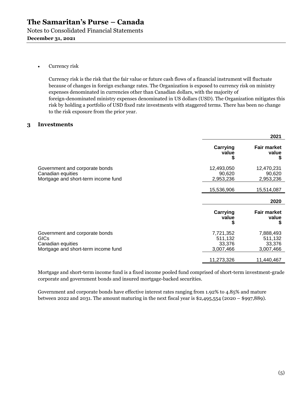#### Currency risk

Currency risk is the risk that the fair value or future cash flows of a financial instrument will fluctuate because of changes in foreign exchange rates. The Organization is exposed to currency risk on ministry expenses denominated in currencies other than Canadian dollars, with the majority of foreign-denominated ministry expenses denominated in US dollars (USD). The Organization mitigates this risk by holding a portfolio of USD fixed rate investments with staggered terms. There has been no change to the risk exposure from the prior year.

#### **3 Investments**

|                                                                                                           |                                             | 2021                                        |
|-----------------------------------------------------------------------------------------------------------|---------------------------------------------|---------------------------------------------|
|                                                                                                           | Carrying<br>value<br>\$                     | <b>Fair market</b><br>value<br>S            |
| Government and corporate bonds<br>Canadian equities<br>Mortgage and short-term income fund                | 12,493,050<br>90,620<br>2,953,236           | 12,470,231<br>90,620<br>2,953,236           |
|                                                                                                           | 15,536,906                                  | 15,514,087                                  |
|                                                                                                           |                                             | 2020                                        |
|                                                                                                           | Carrying<br>value<br>S                      | <b>Fair market</b><br>value<br>S            |
| Government and corporate bonds<br><b>GICs</b><br>Canadian equities<br>Mortgage and short-term income fund | 7,721,352<br>511,132<br>33,376<br>3,007,466 | 7,888,493<br>511,132<br>33,376<br>3,007,466 |
|                                                                                                           | 11,273,326                                  | 11,440,467                                  |

Mortgage and short-term income fund is a fixed income pooled fund comprised of short-term investment-grade corporate and government bonds and insured mortgage-backed securities.

Government and corporate bonds have effective interest rates ranging from 1.92% to 4.85% and mature between 2022 and 2031. The amount maturing in the next fiscal year is \$2,495,554 (2020 – \$997,889).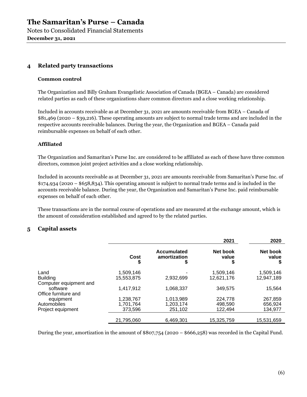Notes to Consolidated Financial Statements **December 31, 2021** 

# **4 Related party transactions**

#### **Common control**

The Organization and Billy Graham Evangelistic Association of Canada (BGEA – Canada) are considered related parties as each of these organizations share common directors and a close working relationship.

Included in accounts receivable as at December 31, 2021 are amounts receivable from BGEA – Canada of \$81,469 (2020 – \$39,216). These operating amounts are subject to normal trade terms and are included in the respective accounts receivable balances. During the year, the Organization and BGEA – Canada paid reimbursable expenses on behalf of each other.

#### **Affiliated**

The Organization and Samaritan's Purse Inc. are considered to be affiliated as each of these have three common directors, common joint project activities and a close working relationship.

Included in accounts receivable as at December 31, 2021 are amounts receivable from Samaritan's Purse Inc. of \$174,934 (2020 – \$658,834). This operating amount is subject to normal trade terms and is included in the accounts receivable balance. During the year, the Organization and Samaritan's Purse Inc. paid reimbursable expenses on behalf of each other.

These transactions are in the normal course of operations and are measured at the exchange amount, which is the amount of consideration established and agreed to by the related parties.

### **5 Capital assets**

|                        |            |                                          | 2021                    | 2020                   |
|------------------------|------------|------------------------------------------|-------------------------|------------------------|
|                        | Cost<br>\$ | <b>Accumulated</b><br>amortization<br>\$ | Net book<br>value<br>\$ | Net book<br>value<br>S |
| Land                   | 1,509,146  |                                          | 1,509,146               | 1,509,146              |
| <b>Building</b>        | 15.553.875 | 2,932,699                                | 12.621.176              | 12.947.189             |
| Computer equipment and |            |                                          |                         |                        |
| software               | 1,417,912  | 1,068,337                                | 349.575                 | 15,564                 |
| Office furniture and   |            |                                          |                         |                        |
| equipment              | 1,238,767  | 1,013,989                                | 224,778                 | 267,859                |
| Automobiles            | 1.701.764  | 1,203,174                                | 498.590                 | 656,924                |
| Project equipment      | 373,596    | 251,102                                  | 122.494                 | 134.977                |
|                        |            |                                          |                         |                        |
|                        | 21,795,060 | 6,469,301                                | 15,325,759              | 15,531,659             |

During the year, amortization in the amount of  $$807,754$  (2020 –  $$666,258$ ) was recorded in the Capital Fund.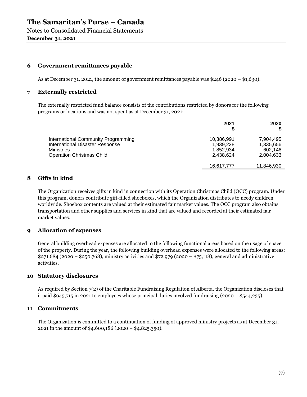**December 31, 2021** 

#### **6 Government remittances payable**

As at December 31, 2021, the amount of government remittances payable was \$246 (2020 – \$1,630).

#### **7 Externally restricted**

The externally restricted fund balance consists of the contributions restricted by donors for the following programs or locations and was not spent as at December 31, 2021:

|                                                                                                                                 | 2021                                              | 2020                                           |
|---------------------------------------------------------------------------------------------------------------------------------|---------------------------------------------------|------------------------------------------------|
| International Community Programming<br>International Disaster Response<br><b>Ministries</b><br><b>Operation Christmas Child</b> | 10,386,991<br>1,939,228<br>1.852.934<br>2.438.624 | 7.904.495<br>1,335,656<br>602.146<br>2,004,633 |
|                                                                                                                                 | 16,617,777                                        | 11,846,930                                     |

# **8 Gifts in kind**

The Organization receives gifts in kind in connection with its Operation Christmas Child (OCC) program. Under this program, donors contribute gift-filled shoeboxes, which the Organization distributes to needy children worldwide. Shoebox contents are valued at their estimated fair market values. The OCC program also obtains transportation and other supplies and services in kind that are valued and recorded at their estimated fair market values.

### **9 Allocation of expenses**

General building overhead expenses are allocated to the following functional areas based on the usage of space of the property. During the year, the following building overhead expenses were allocated to the following areas: \$271,684 (2020 – \$250,768), ministry activities and \$72,979 (2020 – \$75,118), general and administrative activities.

#### **10 Statutory disclosures**

As required by Section 7(2) of the Charitable Fundraising Regulation of Alberta, the Organization discloses that it paid \$645,715 in 2021 to employees whose principal duties involved fundraising (2020 – \$544,235).

#### **11 Commitments**

The Organization is committed to a continuation of funding of approved ministry projects as at December 31, 2021 in the amount of \$4,600,186 (2020 – \$4,825,350).